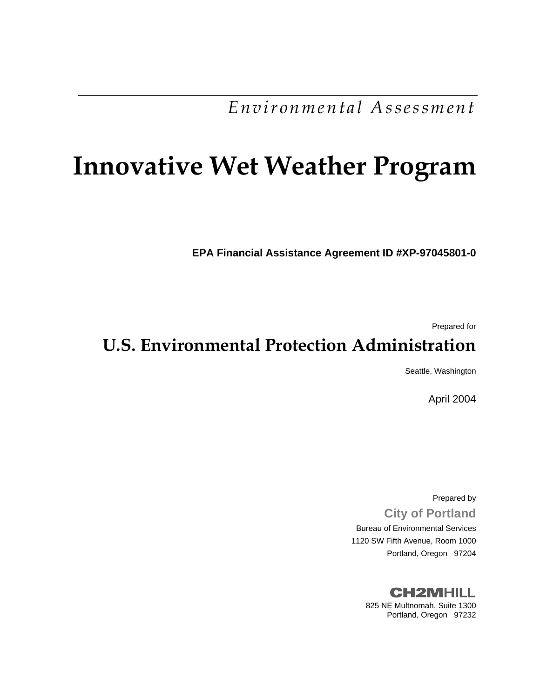*Environmental Assessment* 

# **Innovative Wet Weather Program**

**EPA Financial Assistance Agreement ID #XP-97045801-0** 

Prepared for

## **U.S. Environmental Protection Administration**

Seattle, Washington

April 2004

Prepared by **City of Portland**  Bureau of Environmental Services 1120 SW Fifth Avenue, Room 1000 Portland, Oregon 97204

> **CH2MHILL** 825 NE Multnomah, Suite 1300 Portland, Oregon 97232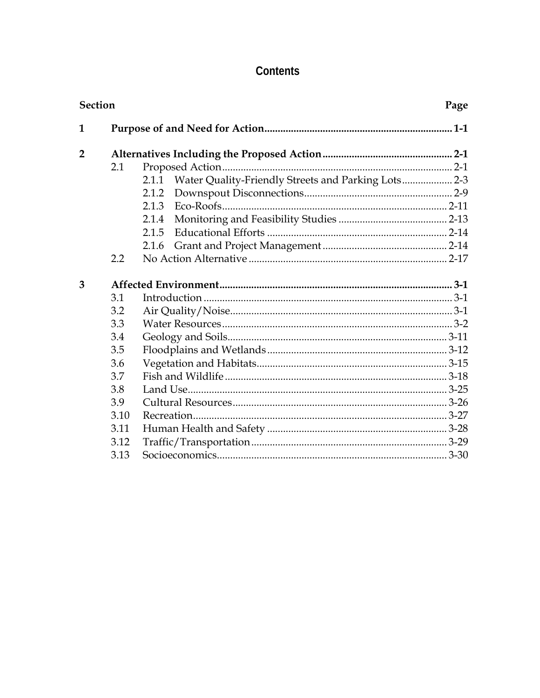### Contents

| <b>Section</b> |         |                                                              |  |
|----------------|---------|--------------------------------------------------------------|--|
| 1              |         |                                                              |  |
| $\overline{2}$ |         |                                                              |  |
|                | 2.1     |                                                              |  |
|                |         | Water Quality-Friendly Streets and Parking Lots 2-3<br>2.1.1 |  |
|                |         | 2.1.2                                                        |  |
|                |         | 2.1.3                                                        |  |
|                |         | 2.1.4                                                        |  |
|                |         | 2.1.5                                                        |  |
|                |         | 2.1.6                                                        |  |
|                | $2.2\,$ |                                                              |  |
| 3              |         |                                                              |  |
|                | 3.1     |                                                              |  |
|                | 3.2     |                                                              |  |
|                | 3.3     |                                                              |  |
|                | 3.4     |                                                              |  |
|                | 3.5     |                                                              |  |
|                | 3.6     |                                                              |  |
|                | 3.7     |                                                              |  |
|                | 3.8     |                                                              |  |
|                | 3.9     |                                                              |  |
|                | 3.10    |                                                              |  |
|                | 3.11    |                                                              |  |
|                | 3.12    |                                                              |  |
|                | 3.13    |                                                              |  |
|                |         |                                                              |  |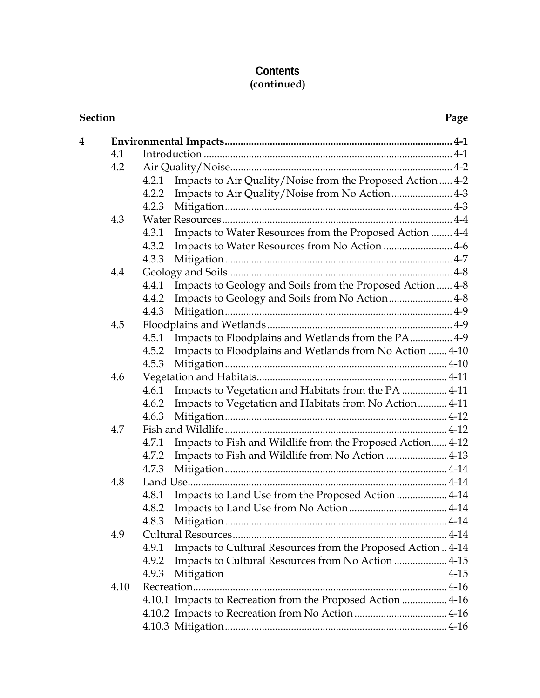#### **Contents (continued)**

| Section |      |                                                                       |
|---------|------|-----------------------------------------------------------------------|
| 4       |      |                                                                       |
|         | 4.1  |                                                                       |
|         | 4.2  |                                                                       |
|         |      | Impacts to Air Quality/Noise from the Proposed Action  4-2<br>4.2.1   |
|         |      | Impacts to Air Quality/Noise from No Action 4-3<br>4.2.2              |
|         |      | 4.2.3                                                                 |
|         | 4.3  |                                                                       |
|         |      | Impacts to Water Resources from the Proposed Action  4-4<br>4.3.1     |
|         |      | Impacts to Water Resources from No Action  4-6<br>4.3.2               |
|         |      | 4.3.3                                                                 |
|         | 4.4  |                                                                       |
|         |      | Impacts to Geology and Soils from the Proposed Action  4-8<br>4.4.1   |
|         |      | Impacts to Geology and Soils from No Action 4-8<br>4.4.2              |
|         |      | 4.4.3                                                                 |
|         | 4.5  |                                                                       |
|         |      | Impacts to Floodplains and Wetlands from the PA 4-9<br>4.5.1          |
|         |      | Impacts to Floodplains and Wetlands from No Action  4-10<br>4.5.2     |
|         |      | 4.5.3                                                                 |
|         | 4.6  |                                                                       |
|         |      | Impacts to Vegetation and Habitats from the PA  4-11<br>4.6.1         |
|         |      | Impacts to Vegetation and Habitats from No Action 4-11<br>4.6.2       |
|         |      | 4.6.3                                                                 |
|         | 4.7  |                                                                       |
|         |      | Impacts to Fish and Wildlife from the Proposed Action 4-12<br>4.7.1   |
|         |      | Impacts to Fish and Wildlife from No Action  4-13<br>4.7.2            |
|         |      | 4.7.3                                                                 |
|         | 4.8  |                                                                       |
|         |      | Impacts to Land Use from the Proposed Action  4-14<br>4.8.1           |
|         |      |                                                                       |
|         |      | 4.8.3                                                                 |
|         | 4.9  |                                                                       |
|         |      | Impacts to Cultural Resources from the Proposed Action  4-14<br>4.9.1 |
|         |      | Impacts to Cultural Resources from No Action  4-15<br>4.9.2           |
|         |      | Mitigation<br>4.9.3<br>$4 - 15$                                       |
|         | 4.10 |                                                                       |
|         |      | 4.10.1 Impacts to Recreation from the Proposed Action  4-16           |
|         |      |                                                                       |
|         |      |                                                                       |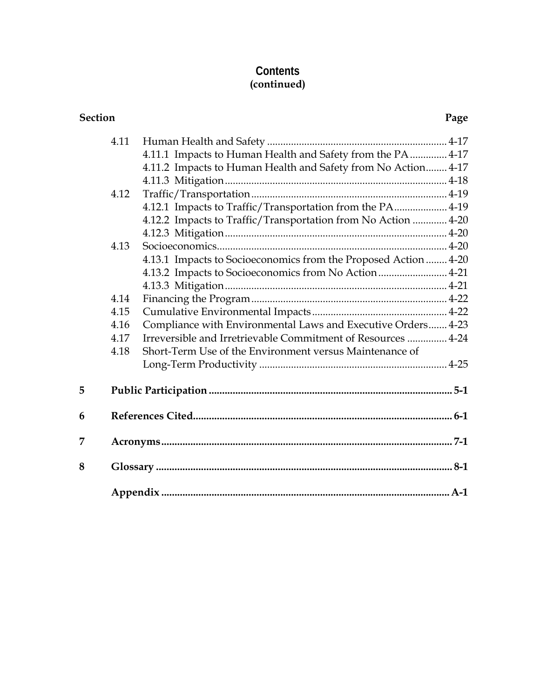#### **Contents (continued)**

| Section |      |                                                                 | Page |
|---------|------|-----------------------------------------------------------------|------|
|         | 4.11 |                                                                 |      |
|         |      | 4.11.1 Impacts to Human Health and Safety from the PA  4-17     |      |
|         |      | 4.11.2 Impacts to Human Health and Safety from No Action 4-17   |      |
|         |      |                                                                 |      |
|         | 4.12 |                                                                 |      |
|         |      | 4.12.1 Impacts to Traffic/Transportation from the PA 4-19       |      |
|         |      | 4.12.2 Impacts to Traffic/Transportation from No Action  4-20   |      |
|         |      |                                                                 |      |
|         | 4.13 |                                                                 |      |
|         |      | 4.13.1 Impacts to Socioeconomics from the Proposed Action  4-20 |      |
|         |      | 4.13.2 Impacts to Socioeconomics from No Action 4-21            |      |
|         |      |                                                                 |      |
|         | 4.14 |                                                                 |      |
|         | 4.15 |                                                                 |      |
|         | 4.16 | Compliance with Environmental Laws and Executive Orders 4-23    |      |
|         | 4.17 | Irreversible and Irretrievable Commitment of Resources  4-24    |      |
|         | 4.18 | Short-Term Use of the Environment versus Maintenance of         |      |
|         |      |                                                                 |      |
| 5       |      |                                                                 |      |
| 6       |      |                                                                 |      |
| 7       |      |                                                                 |      |
| 8       |      |                                                                 |      |
|         |      |                                                                 |      |